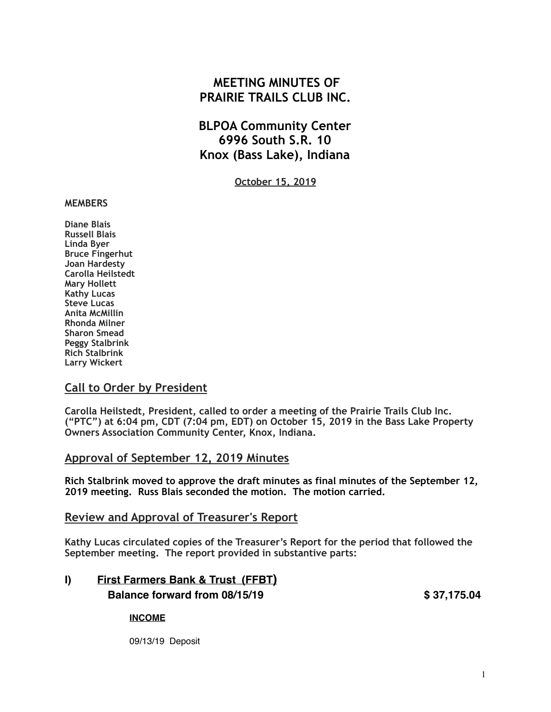# **MEETING MINUTES OF PRAIRIE TRAILS CLUB INC.**

# **BLPOA Community Center 6996 South S.R. 10 Knox (Bass Lake), Indiana**

**October 15, 2019**

#### **MEMBERS**

**Diane Blais Russell Blais Linda Byer Bruce Fingerhut Joan Hardesty Carolla Heilstedt Mary Hollett Kathy Lucas Steve Lucas Anita McMillin Rhonda Milner Sharon Smead Peggy Stalbrink Rich Stalbrink Larry Wickert** 

#### **Call to Order by President**

**Carolla Heilstedt, President, called to order a meeting of the Prairie Trails Club Inc. ("PTC") at 6:04 pm, CDT (7:04 pm, EDT) on October 15, 2019 in the Bass Lake Property Owners Association Community Center, Knox, Indiana.**

#### **Approval of September 12, 2019 Minutes**

**Rich Stalbrink moved to approve the draft minutes as final minutes of the September 12, 2019 meeting. Russ Blais seconded the motion. The motion carried.** 

#### **Review and Approval of Treasurer's Report**

**Kathy Lucas circulated copies of the Treasurer's Report for the period that followed the September meeting. The report provided in substantive parts:** 

# **I) First Farmers Bank & Trust (FFBT) Balance forward from 08/15/19 \$ 37,175.04**

#### **INCOME**

09/13/19 Deposit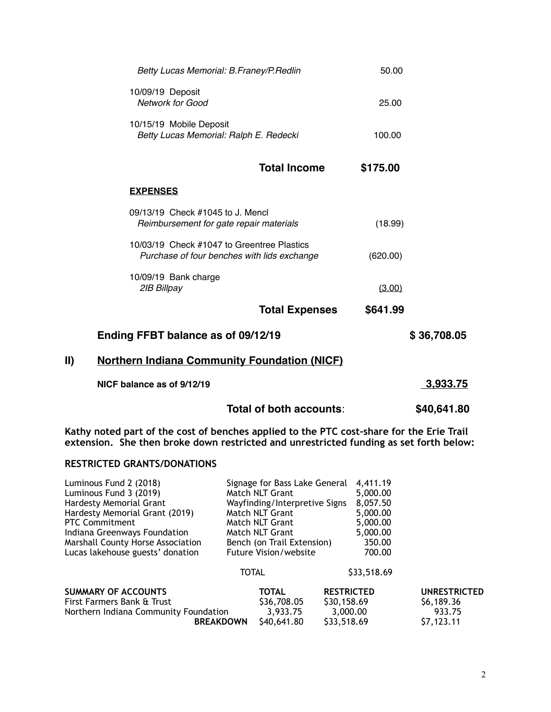|     | Betty Lucas Memorial: B.Franey/P.Redlin                                                   | 50.00    |             |
|-----|-------------------------------------------------------------------------------------------|----------|-------------|
|     | 10/09/19 Deposit<br><b>Network for Good</b>                                               | 25.00    |             |
|     | 10/15/19 Mobile Deposit<br>Betty Lucas Memorial: Ralph E. Redecki                         | 100.00   |             |
|     | <b>Total Income</b>                                                                       | \$175.00 |             |
|     | <b>EXPENSES</b>                                                                           |          |             |
|     | 09/13/19 Check #1045 to J. Mencl<br>Reimbursement for gate repair materials               | (18.99)  |             |
|     | 10/03/19 Check #1047 to Greentree Plastics<br>Purchase of four benches with lids exchange | (620.00) |             |
|     | 10/09/19 Bank charge<br>2IB Billpay                                                       | (3.00)   |             |
|     | <b>Total Expenses</b>                                                                     | \$641.99 |             |
|     | Ending FFBT balance as of 09/12/19                                                        |          | \$36,708.05 |
| II) | <b>Northern Indiana Community Foundation (NICF)</b>                                       |          |             |
|     | NICF balance as of 9/12/19                                                                |          | 3,933.75    |
|     | Total of both accounts:                                                                   |          | \$40,641.80 |

**Kathy noted part of the cost of benches applied to the PTC cost-share for the Erie Trail extension. She then broke down restricted and unrestricted funding as set forth below:** 

#### **RESTRICTED GRANTS/DONATIONS**

| Luminous Fund 2 (2018)                |                  | Signage for Bass Lake General |                   | 4,411.19    |                     |
|---------------------------------------|------------------|-------------------------------|-------------------|-------------|---------------------|
| Luminous Fund 3 (2019)                |                  | Match NLT Grant               |                   | 5,000.00    |                     |
| Hardesty Memorial Grant               |                  | Wayfinding/Interpretive Signs |                   | 8,057.50    |                     |
| Hardesty Memorial Grant (2019)        |                  | Match NLT Grant               |                   | 5,000.00    |                     |
| <b>PTC Commitment</b>                 |                  | Match NLT Grant               |                   | 5,000.00    |                     |
| Indiana Greenways Foundation          |                  | Match NLT Grant               |                   | 5,000.00    |                     |
| Marshall County Horse Association     |                  | Bench (on Trail Extension)    |                   | 350.00      |                     |
| Lucas lakehouse guests' donation      |                  | <b>Future Vision/website</b>  |                   | 700.00      |                     |
|                                       | <b>TOTAL</b>     |                               |                   | \$33,518.69 |                     |
| <b>SUMMARY OF ACCOUNTS</b>            |                  | <b>TOTAL</b>                  | <b>RESTRICTED</b> |             | <b>UNRESTRICTED</b> |
| First Farmers Bank & Trust            |                  | \$36,708.05                   | \$30,158.69       |             | \$6,189.36          |
| Northern Indiana Community Foundation |                  | 3,933.75                      | 3,000.00          |             | 933.75              |
|                                       | <b>BREAKDOWN</b> | S40.641.80                    | \$33,518.69       |             | \$7,123.11          |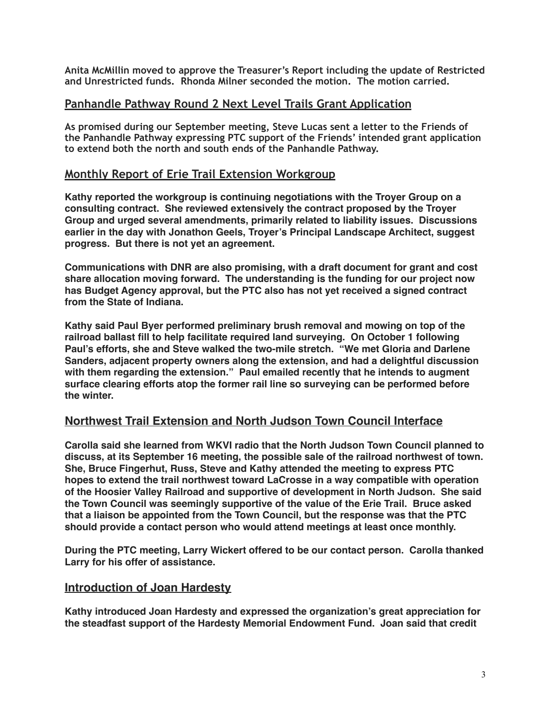**Anita McMillin moved to approve the Treasurer's Report including the update of Restricted and Unrestricted funds. Rhonda Milner seconded the motion. The motion carried.** 

#### **Panhandle Pathway Round 2 Next Level Trails Grant Application**

**As promised during our September meeting, Steve Lucas sent a letter to the Friends of the Panhandle Pathway expressing PTC support of the Friends' intended grant application to extend both the north and south ends of the Panhandle Pathway.** 

## **Monthly Report of Erie Trail Extension Workgroup**

**Kathy reported the workgroup is continuing negotiations with the Troyer Group on a consulting contract. She reviewed extensively the contract proposed by the Troyer Group and urged several amendments, primarily related to liability issues. Discussions earlier in the day with Jonathon Geels, Troyer's Principal Landscape Architect, suggest progress. But there is not yet an agreement.** 

**Communications with DNR are also promising, with a draft document for grant and cost share allocation moving forward. The understanding is the funding for our project now has Budget Agency approval, but the PTC also has not yet received a signed contract from the State of Indiana.** 

**Kathy said Paul Byer performed preliminary brush removal and mowing on top of the railroad ballast fill to help facilitate required land surveying. On October 1 following Paul's efforts, she and Steve walked the two-mile stretch. "We met Gloria and Darlene Sanders, adjacent property owners along the extension, and had a delightful discussion with them regarding the extension." Paul emailed recently that he intends to augment surface clearing efforts atop the former rail line so surveying can be performed before the winter.**

## **Northwest Trail Extension and North Judson Town Council Interface**

**Carolla said she learned from WKVI radio that the North Judson Town Council planned to discuss, at its September 16 meeting, the possible sale of the railroad northwest of town. She, Bruce Fingerhut, Russ, Steve and Kathy attended the meeting to express PTC hopes to extend the trail northwest toward LaCrosse in a way compatible with operation of the Hoosier Valley Railroad and supportive of development in North Judson. She said the Town Council was seemingly supportive of the value of the Erie Trail. Bruce asked that a liaison be appointed from the Town Council, but the response was that the PTC should provide a contact person who would attend meetings at least once monthly.**

**During the PTC meeting, Larry Wickert offered to be our contact person. Carolla thanked Larry for his offer of assistance.**

#### **Introduction of Joan Hardesty**

**Kathy introduced Joan Hardesty and expressed the organization's great appreciation for the steadfast support of the Hardesty Memorial Endowment Fund. Joan said that credit**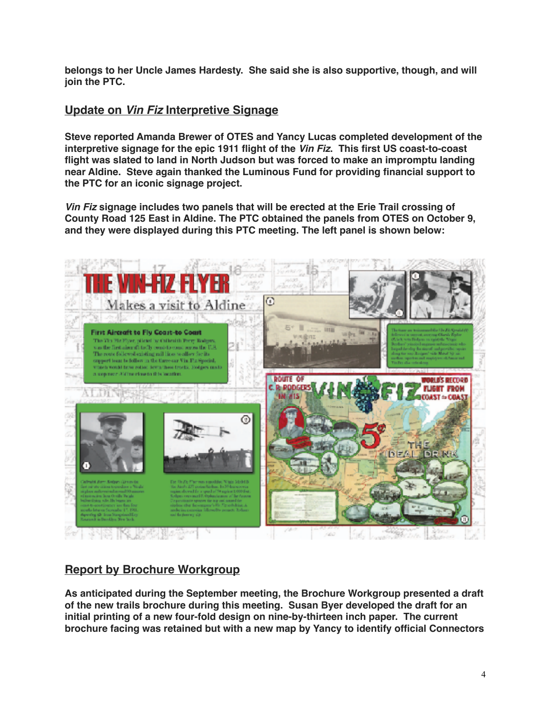**belongs to her Uncle James Hardesty. She said she is also supportive, though, and will join the PTC.**

## **Update on** *Vin Fiz* **Interpretive Signage**

**Steve reported Amanda Brewer of OTES and Yancy Lucas completed development of the interpretive signage for the epic 1911 flight of the** *Vin Fiz***. This first US coast-to-coast flight was slated to land in North Judson but was forced to make an impromptu landing near Aldine. Steve again thanked the Luminous Fund for providing financial support to the PTC for an iconic signage project.** 

*Vin Fiz* **signage includes two panels that will be erected at the Erie Trail crossing of County Road 125 East in Aldine. The PTC obtained the panels from OTES on October 9, and they were displayed during this PTC meeting. The left panel is shown below:**



## **Report by Brochure Workgroup**

**As anticipated during the September meeting, the Brochure Workgroup presented a draft of the new trails brochure during this meeting. Susan Byer developed the draft for an initial printing of a new four-fold design on nine-by-thirteen inch paper. The current brochure facing was retained but with a new map by Yancy to identify official Connectors**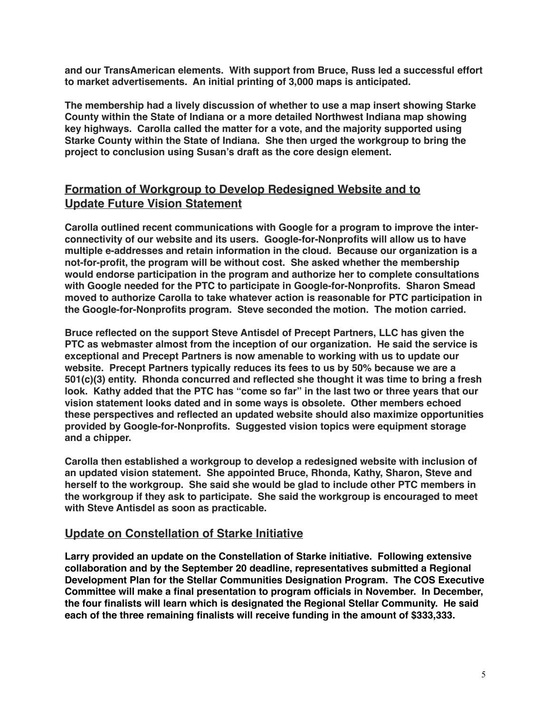**and our TransAmerican elements. With support from Bruce, Russ led a successful effort to market advertisements. An initial printing of 3,000 maps is anticipated.** 

**The membership had a lively discussion of whether to use a map insert showing Starke County within the State of Indiana or a more detailed Northwest Indiana map showing key highways. Carolla called the matter for a vote, and the majority supported using Starke County within the State of Indiana. She then urged the workgroup to bring the project to conclusion using Susan's draft as the core design element.**

## **Formation of Workgroup to Develop Redesigned Website and to Update Future Vision Statement**

**Carolla outlined recent communications with Google for a program to improve the interconnectivity of our website and its users. Google-for-Nonprofits will allow us to have multiple e-addresses and retain information in the cloud. Because our organization is a not-for-profit, the program will be without cost. She asked whether the membership would endorse participation in the program and authorize her to complete consultations with Google needed for the PTC to participate in Google-for-Nonprofits. Sharon Smead moved to authorize Carolla to take whatever action is reasonable for PTC participation in the Google-for-Nonprofits program. Steve seconded the motion. The motion carried.**

**Bruce reflected on the support Steve Antisdel of Precept Partners, LLC has given the PTC as webmaster almost from the inception of our organization. He said the service is exceptional and Precept Partners is now amenable to working with us to update our website. Precept Partners typically reduces its fees to us by 50% because we are a 501(c)(3) entity. Rhonda concurred and reflected she thought it was time to bring a fresh look. Kathy added that the PTC has "come so far" in the last two or three years that our vision statement looks dated and in some ways is obsolete. Other members echoed these perspectives and reflected an updated website should also maximize opportunities provided by Google-for-Nonprofits. Suggested vision topics were equipment storage and a chipper.**

**Carolla then established a workgroup to develop a redesigned website with inclusion of an updated vision statement. She appointed Bruce, Rhonda, Kathy, Sharon, Steve and herself to the workgroup. She said she would be glad to include other PTC members in the workgroup if they ask to participate. She said the workgroup is encouraged to meet with Steve Antisdel as soon as practicable.**

#### **Update on Constellation of Starke Initiative**

**Larry provided an update on the Constellation of Starke initiative. Following extensive collaboration and by the September 20 deadline, representatives submitted a Regional Development Plan for the Stellar Communities Designation Program. The COS Executive Committee will make a final presentation to program officials in November. In December, the four finalists will learn which is designated the Regional Stellar Community. He said each of the three remaining finalists will receive funding in the amount of \$333,333.**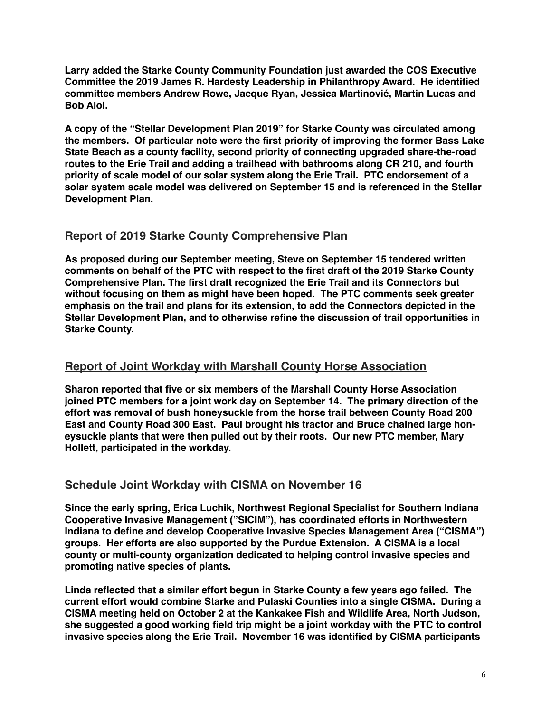**Larry added the Starke County Community Foundation just awarded the COS Executive Committee the 2019 James R. Hardesty Leadership in Philanthropy Award. He identified committee members Andrew Rowe, Jacque Ryan, Jessica Martinović, Martin Lucas and Bob Aloi.**

**A copy of the "Stellar Development Plan 2019" for Starke County was circulated among the members. Of particular note were the first priority of improving the former Bass Lake State Beach as a county facility, second priority of connecting upgraded share-the-road routes to the Erie Trail and adding a trailhead with bathrooms along CR 210, and fourth priority of scale model of our solar system along the Erie Trail. PTC endorsement of a solar system scale model was delivered on September 15 and is referenced in the Stellar Development Plan.**

## **Report of 2019 Starke County Comprehensive Plan**

**As proposed during our September meeting, Steve on September 15 tendered written comments on behalf of the PTC with respect to the first draft of the 2019 Starke County Comprehensive Plan. The first draft recognized the Erie Trail and its Connectors but without focusing on them as might have been hoped. The PTC comments seek greater emphasis on the trail and plans for its extension, to add the Connectors depicted in the Stellar Development Plan, and to otherwise refine the discussion of trail opportunities in Starke County.**

## **Report of Joint Workday with Marshall County Horse Association**

**Sharon reported that five or six members of the Marshall County Horse Association joined PTC members for a joint work day on September 14. The primary direction of the effort was removal of bush honeysuckle from the horse trail between County Road 200 East and County Road 300 East. Paul brought his tractor and Bruce chained large honeysuckle plants that were then pulled out by their roots. Our new PTC member, Mary Hollett, participated in the workday.** 

## **Schedule Joint Workday with CISMA on November 16**

**Since the early spring, Erica Luchik, Northwest Regional Specialist for Southern Indiana Cooperative Invasive Management ("SICIM"), has coordinated efforts in Northwestern Indiana to define and develop Cooperative Invasive Species Management Area ("CISMA") groups. Her efforts are also supported by the Purdue Extension. A CISMA is a local county or multi-county organization dedicated to helping control invasive species and promoting native species of plants.**

**Linda reflected that a similar effort begun in Starke County a few years ago failed. The current effort would combine Starke and Pulaski Counties into a single CISMA. During a CISMA meeting held on October 2 at the Kankakee Fish and Wildlife Area, North Judson, she suggested a good working field trip might be a joint workday with the PTC to control invasive species along the Erie Trail. November 16 was identified by CISMA participants**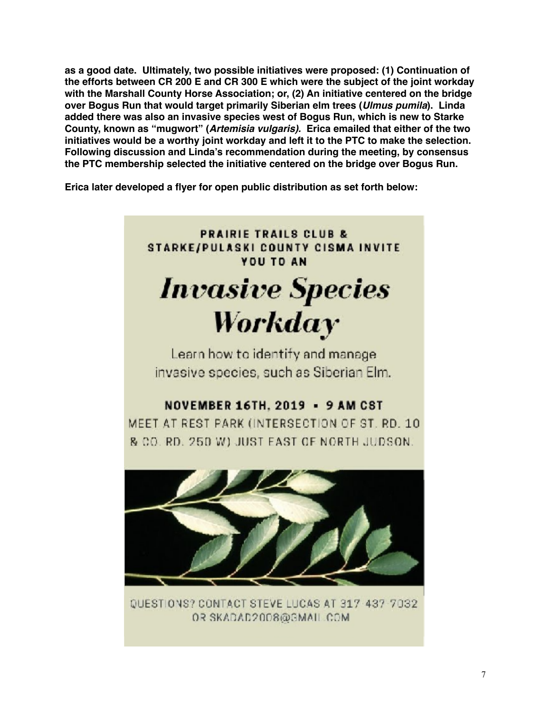**as a good date. Ultimately, two possible initiatives were proposed: (1) Continuation of the efforts between CR 200 E and CR 300 E which were the subject of the joint workday with the Marshall County Horse Association; or, (2) An initiative centered on the bridge over Bogus Run that would target primarily Siberian elm trees (***Ulmus pumila***). Linda added there was also an invasive species west of Bogus Run, which is new to Starke County, known as "mugwort" (***Artemisia vulgaris).* **Erica emailed that either of the two initiatives would be a worthy joint workday and left it to the PTC to make the selection. Following discussion and Linda's recommendation during the meeting, by consensus the PTC membership selected the initiative centered on the bridge over Bogus Run.**

**Erica later developed a flyer for open public distribution as set forth below:**